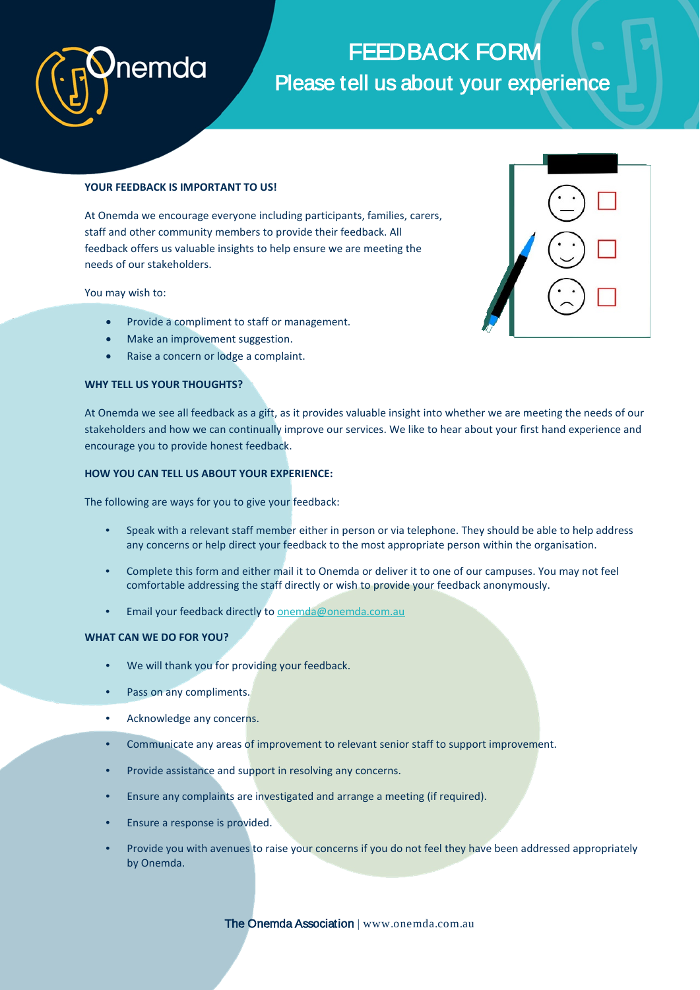

# **PEEDBACK FORM** Please tell us about your experience

### **YOUR FEEDBACK IS IMPORTANT TO US!**

At Onemda we encourage everyone including participants, families, carers, staff and other community members to provide their feedback. All feedback offers us valuable insights to help ensure we are meeting the needs of our stakeholders.

You may wish to:

- Provide a compliment to staff or management.
- Make an improvement suggestion.
- Raise a concern or lodge a complaint.

# **WHY TELL US YOUR THOUGHTS?**

At Onemda we see all feedback as a gift, as it provides valuable insight into whether we are meeting the needs of our stakeholders and how we can continually improve our services. We like to hear about your first hand experience and encourage you to provide honest feedback.

### **HOW YOU CAN TELL US ABOUT YOUR EXPERIENCE:**

The following are ways for you to give your feedback:

- Speak with a relevant staff member either in person or via telephone. They should be able to help address any concerns or help direct your feedback to the most appropriate person within the organisation.
- Complete this form and either mail it to Onemda or deliver it to one of our campuses. You may not feel comfortable addressing the staff directly or wish to provide your feedback anonymously.
- Email your feedback directly to [onemda@onemda.com.au](mailto:onemda@onemda.com.au)

#### **WHAT CAN WE DO FOR YOU?**

- We will thank you for providing your feedback.
- Pass on any compliments.
- Acknowledge any concerns.
- Communicate any areas of improvement to relevant senior staff to support improvement.
- Provide assistance and support in resolving any concerns.
- Ensure any complaints are investigated and arrange a meeting (if required).
- Ensure a response is provided.
- Provide you with avenues to raise your concerns if you do not feel they have been addressed appropriately by Onemda.



The Onemda Association | www.onemda.com.au